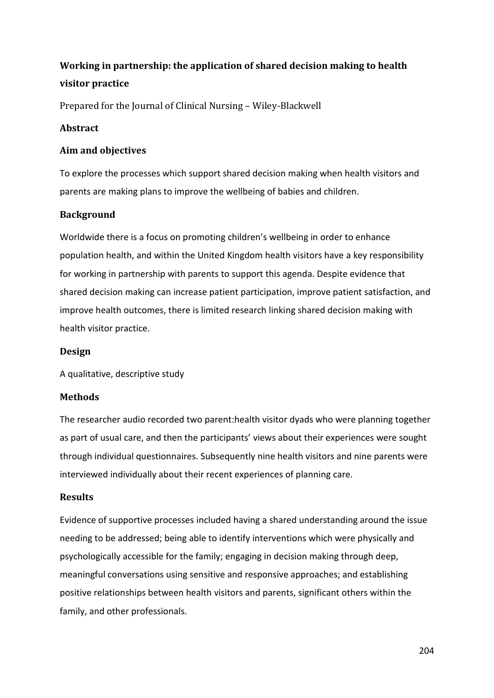# **Working in partnership: the application of shared decision making to health visitor practice**

Prepared for the Journal of Clinical Nursing – Wiley-Blackwell

# **Abstract**

# **Aim and objectives**

To explore the processes which support shared decision making when health visitors and parents are making plans to improve the wellbeing of babies and children.

# **Background**

Worldwide there is a focus on promoting children's wellbeing in order to enhance population health, and within the United Kingdom health visitors have a key responsibility for working in partnership with parents to support this agenda. Despite evidence that shared decision making can increase patient participation, improve patient satisfaction, and improve health outcomes, there is limited research linking shared decision making with health visitor practice.

# **Design**

A qualitative, descriptive study

# **Methods**

The researcher audio recorded two parent:health visitor dyads who were planning together as part of usual care, and then the participants' views about their experiences were sought through individual questionnaires. Subsequently nine health visitors and nine parents were interviewed individually about their recent experiences of planning care.

# **Results**

Evidence of supportive processes included having a shared understanding around the issue needing to be addressed; being able to identify interventions which were physically and psychologically accessible for the family; engaging in decision making through deep, meaningful conversations using sensitive and responsive approaches; and establishing positive relationships between health visitors and parents, significant others within the family, and other professionals.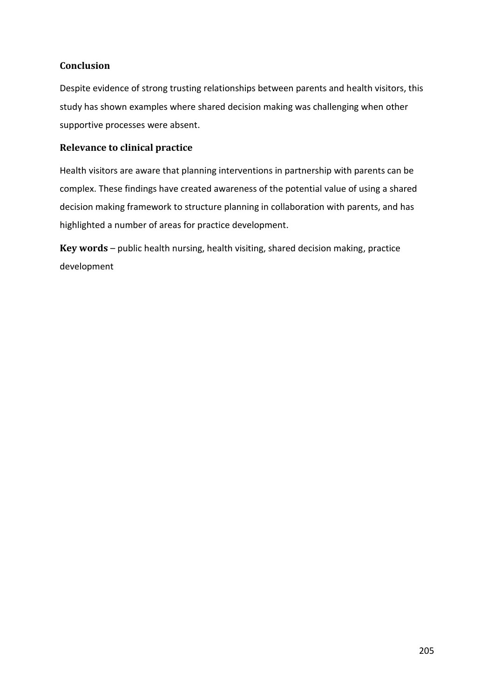# **Conclusion**

Despite evidence of strong trusting relationships between parents and health visitors, this study has shown examples where shared decision making was challenging when other supportive processes were absent.

# **Relevance to clinical practice**

Health visitors are aware that planning interventions in partnership with parents can be complex. These findings have created awareness of the potential value of using a shared decision making framework to structure planning in collaboration with parents, and has highlighted a number of areas for practice development.

**Key words** – public health nursing, health visiting, shared decision making, practice development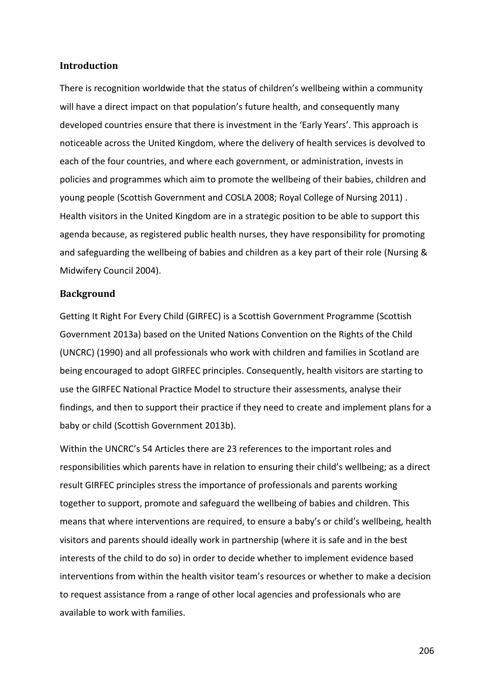### **Introduction**

There is recognition worldwide that the status of children's wellbeing within a community will have a direct impact on that population's future health, and consequently many developed countries ensure that there is investment in the 'Early Years'. This approach is noticeable across the United Kingdom, where the delivery of health services is devolved to each of the four countries, and where each government, or administration, invests in policies and programmes which aim to promote the wellbeing of their babies, children and young people (Scottish Government and COSLA 2008; Royal College of Nursing 2011) . Health visitors in the United Kingdom are in a strategic position to be able to support this agenda because, as registered public health nurses, they have responsibility for promoting and safeguarding the wellbeing of babies and children as a key part of their role (Nursing & Midwifery Council 2004).

### **Background**

Getting It Right For Every Child (GIRFEC) is a Scottish Government Programme (Scottish Government 2013a) based on the United Nations Convention on the Rights of the Child (UNCRC) (1990) and all professionals who work with children and families in Scotland are being encouraged to adopt GIRFEC principles. Consequently, health visitors are starting to use the GIRFEC National Practice Model to structure their assessments, analyse their findings, and then to support their practice if they need to create and implement plans for a baby or child (Scottish Government 2013b).

Within the UNCRC's 54 Articles there are 23 references to the important roles and responsibilities which parents have in relation to ensuring their child's wellbeing; as a direct result GIRFEC principles stress the importance of professionals and parents working together to support, promote and safeguard the wellbeing of babies and children. This means that where interventions are required, to ensure a baby's or child's wellbeing, health visitors and parents should ideally work in partnership (where it is safe and in the best interests of the child to do so) in order to decide whether to implement evidence based interventions from within the health visitor team's resources or whether to make a decision to request assistance from a range of other local agencies and professionals who are available to work with families.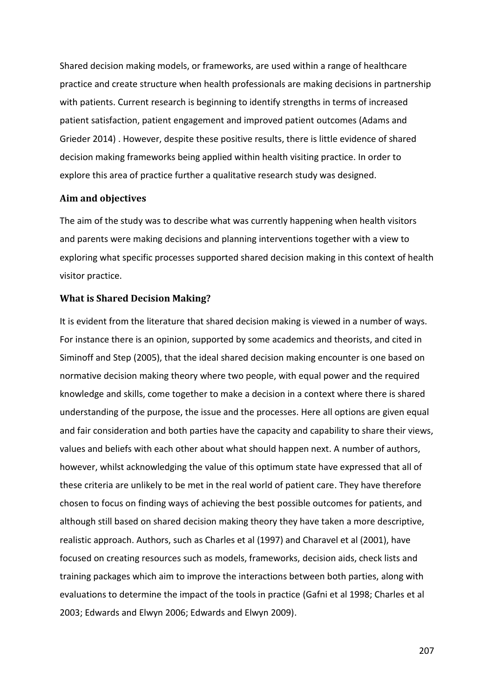Shared decision making models, or frameworks, are used within a range of healthcare practice and create structure when health professionals are making decisions in partnership with patients. Current research is beginning to identify strengths in terms of increased patient satisfaction, patient engagement and improved patient outcomes (Adams and Grieder 2014) . However, despite these positive results, there is little evidence of shared decision making frameworks being applied within health visiting practice. In order to explore this area of practice further a qualitative research study was designed.

### **Aim and objectives**

The aim of the study was to describe what was currently happening when health visitors and parents were making decisions and planning interventions together with a view to exploring what specific processes supported shared decision making in this context of health visitor practice.

### **What is Shared Decision Making?**

It is evident from the literature that shared decision making is viewed in a number of ways. For instance there is an opinion, supported by some academics and theorists, and cited in Siminoff and Step (2005), that the ideal shared decision making encounter is one based on normative decision making theory where two people, with equal power and the required knowledge and skills, come together to make a decision in a context where there is shared understanding of the purpose, the issue and the processes. Here all options are given equal and fair consideration and both parties have the capacity and capability to share their views, values and beliefs with each other about what should happen next. A number of authors, however, whilst acknowledging the value of this optimum state have expressed that all of these criteria are unlikely to be met in the real world of patient care. They have therefore chosen to focus on finding ways of achieving the best possible outcomes for patients, and although still based on shared decision making theory they have taken a more descriptive, realistic approach. Authors, such as Charles et al (1997) and Charavel et al (2001), have focused on creating resources such as models, frameworks, decision aids, check lists and training packages which aim to improve the interactions between both parties, along with evaluations to determine the impact of the tools in practice (Gafni et al 1998; Charles et al 2003; Edwards and Elwyn 2006; Edwards and Elwyn 2009).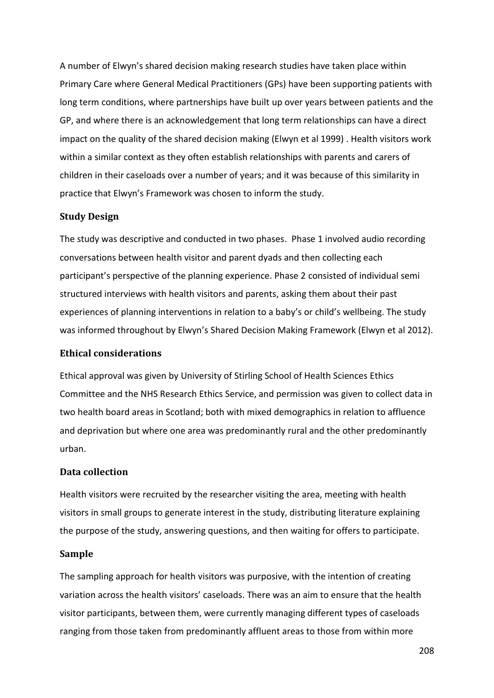A number of Elwyn's shared decision making research studies have taken place within Primary Care where General Medical Practitioners (GPs) have been supporting patients with long term conditions, where partnerships have built up over years between patients and the GP, and where there is an acknowledgement that long term relationships can have a direct impact on the quality of the shared decision making (Elwyn et al 1999) . Health visitors work within a similar context as they often establish relationships with parents and carers of children in their caseloads over a number of years; and it was because of this similarity in practice that Elwyn's Framework was chosen to inform the study.

### **Study Design**

The study was descriptive and conducted in two phases. Phase 1 involved audio recording conversations between health visitor and parent dyads and then collecting each participant's perspective of the planning experience. Phase 2 consisted of individual semi structured interviews with health visitors and parents, asking them about their past experiences of planning interventions in relation to a baby's or child's wellbeing. The study was informed throughout by Elwyn's Shared Decision Making Framework (Elwyn et al 2012).

### **Ethical considerations**

Ethical approval was given by University of Stirling School of Health Sciences Ethics Committee and the NHS Research Ethics Service, and permission was given to collect data in two health board areas in Scotland; both with mixed demographics in relation to affluence and deprivation but where one area was predominantly rural and the other predominantly urban.

### **Data collection**

Health visitors were recruited by the researcher visiting the area, meeting with health visitors in small groups to generate interest in the study, distributing literature explaining the purpose of the study, answering questions, and then waiting for offers to participate.

#### **Sample**

The sampling approach for health visitors was purposive, with the intention of creating variation across the health visitors' caseloads. There was an aim to ensure that the health visitor participants, between them, were currently managing different types of caseloads ranging from those taken from predominantly affluent areas to those from within more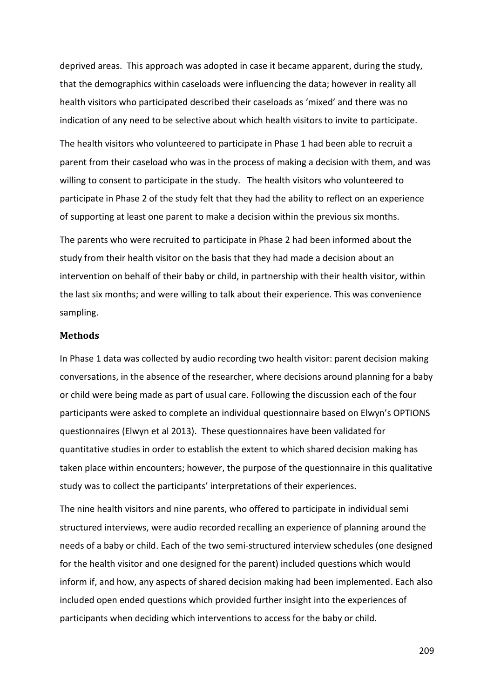deprived areas. This approach was adopted in case it became apparent, during the study, that the demographics within caseloads were influencing the data; however in reality all health visitors who participated described their caseloads as 'mixed' and there was no indication of any need to be selective about which health visitors to invite to participate.

The health visitors who volunteered to participate in Phase 1 had been able to recruit a parent from their caseload who was in the process of making a decision with them, and was willing to consent to participate in the study. The health visitors who volunteered to participate in Phase 2 of the study felt that they had the ability to reflect on an experience of supporting at least one parent to make a decision within the previous six months.

The parents who were recruited to participate in Phase 2 had been informed about the study from their health visitor on the basis that they had made a decision about an intervention on behalf of their baby or child, in partnership with their health visitor, within the last six months; and were willing to talk about their experience. This was convenience sampling.

### **Methods**

In Phase 1 data was collected by audio recording two health visitor: parent decision making conversations, in the absence of the researcher, where decisions around planning for a baby or child were being made as part of usual care. Following the discussion each of the four participants were asked to complete an individual questionnaire based on Elwyn's OPTIONS questionnaires (Elwyn et al 2013). These questionnaires have been validated for quantitative studies in order to establish the extent to which shared decision making has taken place within encounters; however, the purpose of the questionnaire in this qualitative study was to collect the participants' interpretations of their experiences.

The nine health visitors and nine parents, who offered to participate in individual semi structured interviews, were audio recorded recalling an experience of planning around the needs of a baby or child. Each of the two semi-structured interview schedules (one designed for the health visitor and one designed for the parent) included questions which would inform if, and how, any aspects of shared decision making had been implemented. Each also included open ended questions which provided further insight into the experiences of participants when deciding which interventions to access for the baby or child.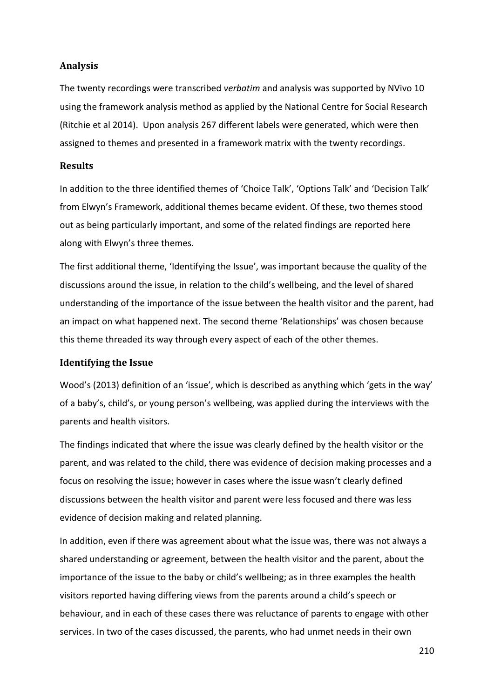### **Analysis**

The twenty recordings were transcribed *verbatim* and analysis was supported by NVivo 10 using the framework analysis method as applied by the National Centre for Social Research (Ritchie et al 2014). Upon analysis 267 different labels were generated, which were then assigned to themes and presented in a framework matrix with the twenty recordings.

### **Results**

In addition to the three identified themes of 'Choice Talk', 'Options Talk' and 'Decision Talk' from Elwyn's Framework, additional themes became evident. Of these, two themes stood out as being particularly important, and some of the related findings are reported here along with Elwyn's three themes.

The first additional theme, 'Identifying the Issue', was important because the quality of the discussions around the issue, in relation to the child's wellbeing, and the level of shared understanding of the importance of the issue between the health visitor and the parent, had an impact on what happened next. The second theme 'Relationships' was chosen because this theme threaded its way through every aspect of each of the other themes.

### **Identifying the Issue**

Wood's (2013) definition of an 'issue', which is described as anything which 'gets in the way' of a baby's, child's, or young person's wellbeing, was applied during the interviews with the parents and health visitors.

The findings indicated that where the issue was clearly defined by the health visitor or the parent, and was related to the child, there was evidence of decision making processes and a focus on resolving the issue; however in cases where the issue wasn't clearly defined discussions between the health visitor and parent were less focused and there was less evidence of decision making and related planning.

In addition, even if there was agreement about what the issue was, there was not always a shared understanding or agreement, between the health visitor and the parent, about the importance of the issue to the baby or child's wellbeing; as in three examples the health visitors reported having differing views from the parents around a child's speech or behaviour, and in each of these cases there was reluctance of parents to engage with other services. In two of the cases discussed, the parents, who had unmet needs in their own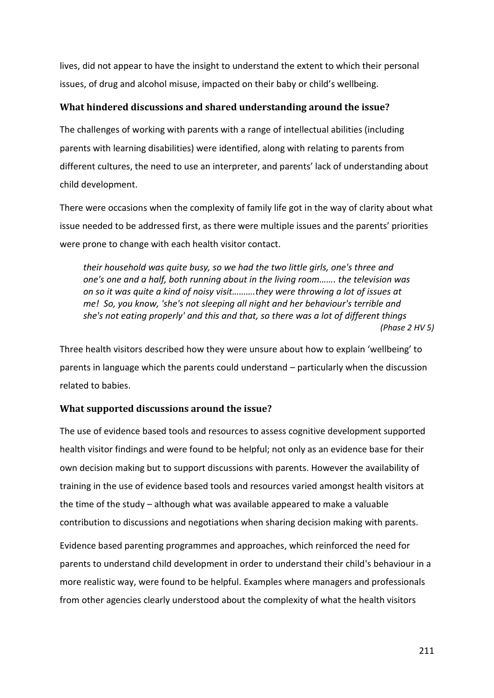lives, did not appear to have the insight to understand the extent to which their personal issues, of drug and alcohol misuse, impacted on their baby or child's wellbeing.

# **What hindered discussions and shared understanding around the issue?**

The challenges of working with parents with a range of intellectual abilities (including parents with learning disabilities) were identified, along with relating to parents from different cultures, the need to use an interpreter, and parents' lack of understanding about child development.

There were occasions when the complexity of family life got in the way of clarity about what issue needed to be addressed first, as there were multiple issues and the parents' priorities were prone to change with each health visitor contact.

*their household was quite busy, so we had the two little girls, one's three and one's one and a half, both running about in the living room……. the television was on so it was quite a kind of noisy visit……….they were throwing a lot of issues at me! So, you know, 'she's not sleeping all night and her behaviour's terrible and she's not eating properly' and this and that, so there was a lot of different things (Phase 2 HV 5)*

Three health visitors described how they were unsure about how to explain 'wellbeing' to parents in language which the parents could understand – particularly when the discussion related to babies.

# **What supported discussions around the issue?**

The use of evidence based tools and resources to assess cognitive development supported health visitor findings and were found to be helpful; not only as an evidence base for their own decision making but to support discussions with parents. However the availability of training in the use of evidence based tools and resources varied amongst health visitors at the time of the study – although what was available appeared to make a valuable contribution to discussions and negotiations when sharing decision making with parents.

Evidence based parenting programmes and approaches, which reinforced the need for parents to understand child development in order to understand their child's behaviour in a more realistic way, were found to be helpful. Examples where managers and professionals from other agencies clearly understood about the complexity of what the health visitors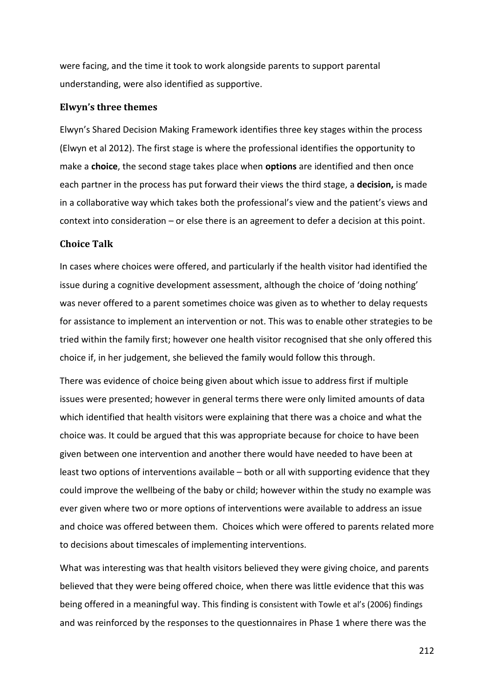were facing, and the time it took to work alongside parents to support parental understanding, were also identified as supportive.

#### **Elwyn's three themes**

Elwyn's Shared Decision Making Framework identifies three key stages within the process (Elwyn et al 2012). The first stage is where the professional identifies the opportunity to make a **choice**, the second stage takes place when **options** are identified and then once each partner in the process has put forward their views the third stage, a **decision,** is made in a collaborative way which takes both the professional's view and the patient's views and context into consideration – or else there is an agreement to defer a decision at this point.

### **Choice Talk**

In cases where choices were offered, and particularly if the health visitor had identified the issue during a cognitive development assessment, although the choice of 'doing nothing' was never offered to a parent sometimes choice was given as to whether to delay requests for assistance to implement an intervention or not. This was to enable other strategies to be tried within the family first; however one health visitor recognised that she only offered this choice if, in her judgement, she believed the family would follow this through.

There was evidence of choice being given about which issue to address first if multiple issues were presented; however in general terms there were only limited amounts of data which identified that health visitors were explaining that there was a choice and what the choice was. It could be argued that this was appropriate because for choice to have been given between one intervention and another there would have needed to have been at least two options of interventions available – both or all with supporting evidence that they could improve the wellbeing of the baby or child; however within the study no example was ever given where two or more options of interventions were available to address an issue and choice was offered between them. Choices which were offered to parents related more to decisions about timescales of implementing interventions.

What was interesting was that health visitors believed they were giving choice, and parents believed that they were being offered choice, when there was little evidence that this was being offered in a meaningful way. This finding is consistent with Towle et al's (2006) findings and was reinforced by the responses to the questionnaires in Phase 1 where there was the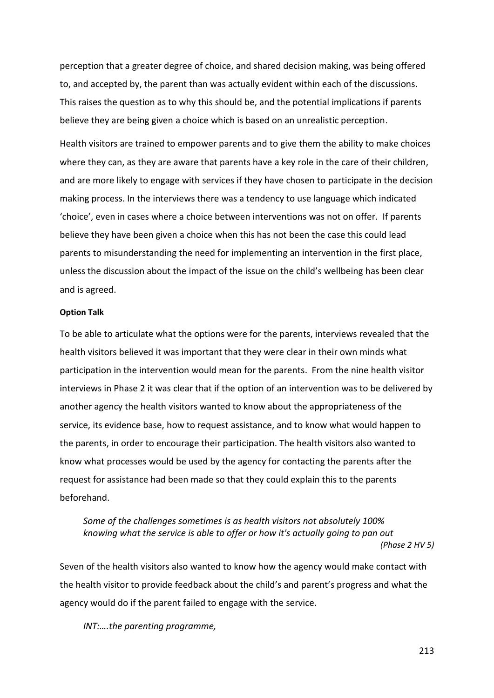perception that a greater degree of choice, and shared decision making, was being offered to, and accepted by, the parent than was actually evident within each of the discussions. This raises the question as to why this should be, and the potential implications if parents believe they are being given a choice which is based on an unrealistic perception.

Health visitors are trained to empower parents and to give them the ability to make choices where they can, as they are aware that parents have a key role in the care of their children, and are more likely to engage with services if they have chosen to participate in the decision making process. In the interviews there was a tendency to use language which indicated 'choice', even in cases where a choice between interventions was not on offer. If parents believe they have been given a choice when this has not been the case this could lead parents to misunderstanding the need for implementing an intervention in the first place, unless the discussion about the impact of the issue on the child's wellbeing has been clear and is agreed.

### **Option Talk**

To be able to articulate what the options were for the parents, interviews revealed that the health visitors believed it was important that they were clear in their own minds what participation in the intervention would mean for the parents. From the nine health visitor interviews in Phase 2 it was clear that if the option of an intervention was to be delivered by another agency the health visitors wanted to know about the appropriateness of the service, its evidence base, how to request assistance, and to know what would happen to the parents, in order to encourage their participation. The health visitors also wanted to know what processes would be used by the agency for contacting the parents after the request for assistance had been made so that they could explain this to the parents beforehand.

*Some of the challenges sometimes is as health visitors not absolutely 100% knowing what the service is able to offer or how it's actually going to pan out (Phase 2 HV 5)*

Seven of the health visitors also wanted to know how the agency would make contact with the health visitor to provide feedback about the child's and parent's progress and what the agency would do if the parent failed to engage with the service.

*INT:….the parenting programme,*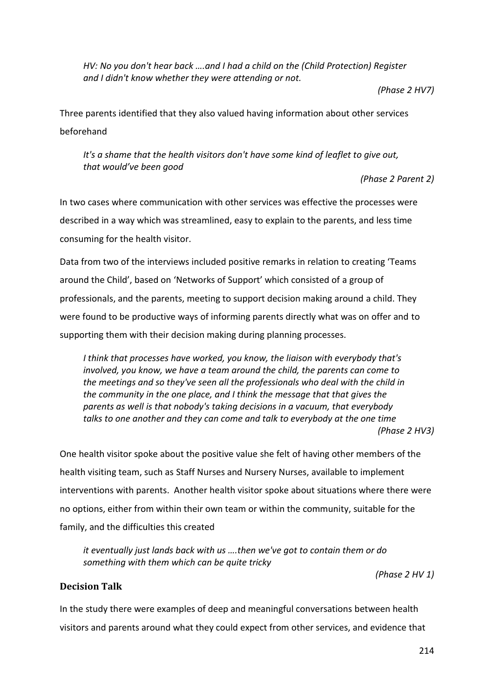*HV: No you don't hear back ….and I had a child on the (Child Protection) Register and I didn't know whether they were attending or not.*

*(Phase 2 HV7)*

Three parents identified that they also valued having information about other services beforehand

*It's a shame that the health visitors don't have some kind of leaflet to give out, that would've been good*

*(Phase 2 Parent 2)*

In two cases where communication with other services was effective the processes were described in a way which was streamlined, easy to explain to the parents, and less time consuming for the health visitor.

Data from two of the interviews included positive remarks in relation to creating 'Teams around the Child', based on 'Networks of Support' which consisted of a group of professionals, and the parents, meeting to support decision making around a child. They were found to be productive ways of informing parents directly what was on offer and to supporting them with their decision making during planning processes.

*I think that processes have worked, you know, the liaison with everybody that's involved, you know, we have a team around the child, the parents can come to the meetings and so they've seen all the professionals who deal with the child in the community in the one place, and I think the message that that gives the parents as well is that nobody's taking decisions in a vacuum, that everybody talks to one another and they can come and talk to everybody at the one time (Phase 2 HV3)*

One health visitor spoke about the positive value she felt of having other members of the health visiting team, such as Staff Nurses and Nursery Nurses, available to implement interventions with parents. Another health visitor spoke about situations where there were no options, either from within their own team or within the community, suitable for the family, and the difficulties this created

*it eventually just lands back with us ….then we've got to contain them or do something with them which can be quite tricky*

*(Phase 2 HV 1)*

# **Decision Talk**

In the study there were examples of deep and meaningful conversations between health visitors and parents around what they could expect from other services, and evidence that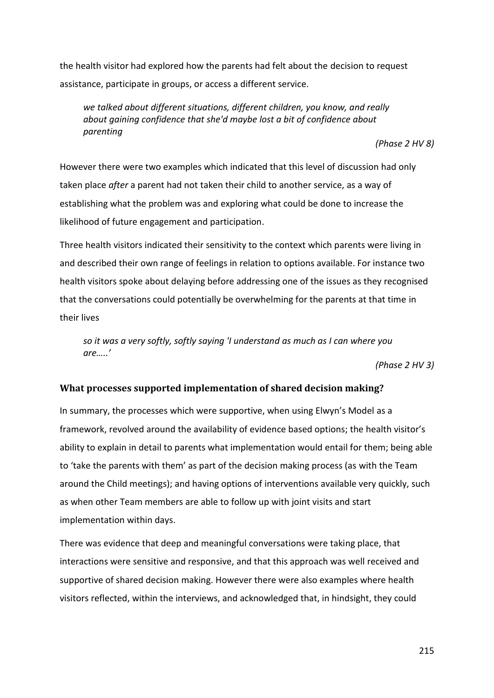the health visitor had explored how the parents had felt about the decision to request assistance, participate in groups, or access a different service.

*we talked about different situations, different children, you know, and really about gaining confidence that she'd maybe lost a bit of confidence about parenting*

*(Phase 2 HV 8)*

However there were two examples which indicated that this level of discussion had only taken place *after* a parent had not taken their child to another service, as a way of establishing what the problem was and exploring what could be done to increase the likelihood of future engagement and participation.

Three health visitors indicated their sensitivity to the context which parents were living in and described their own range of feelings in relation to options available. For instance two health visitors spoke about delaying before addressing one of the issues as they recognised that the conversations could potentially be overwhelming for the parents at that time in their lives

*so it was a very softly, softly saying 'I understand as much as I can where you are…..'*

*(Phase 2 HV 3)*

### **What processes supported implementation of shared decision making?**

In summary, the processes which were supportive, when using Elwyn's Model as a framework, revolved around the availability of evidence based options; the health visitor's ability to explain in detail to parents what implementation would entail for them; being able to 'take the parents with them' as part of the decision making process (as with the Team around the Child meetings); and having options of interventions available very quickly, such as when other Team members are able to follow up with joint visits and start implementation within days.

There was evidence that deep and meaningful conversations were taking place, that interactions were sensitive and responsive, and that this approach was well received and supportive of shared decision making. However there were also examples where health visitors reflected, within the interviews, and acknowledged that, in hindsight, they could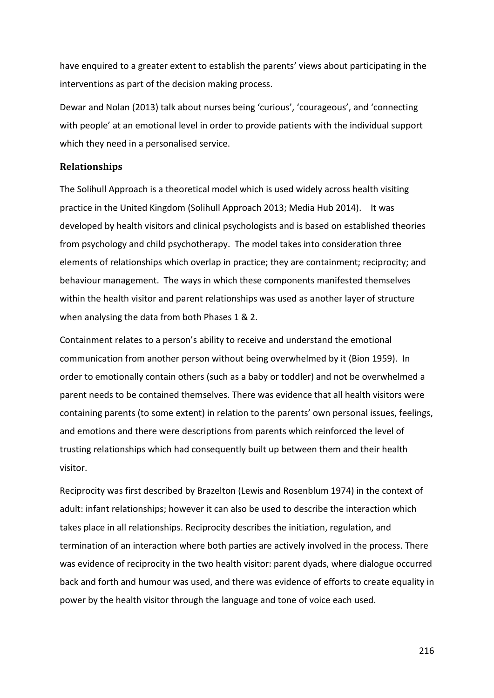have enquired to a greater extent to establish the parents' views about participating in the interventions as part of the decision making process.

Dewar and Nolan (2013) talk about nurses being 'curious', 'courageous', and 'connecting with people' at an emotional level in order to provide patients with the individual support which they need in a personalised service.

### **Relationships**

The Solihull Approach is a theoretical model which is used widely across health visiting practice in the United Kingdom (Solihull Approach 2013; Media Hub 2014). It was developed by health visitors and clinical psychologists and is based on established theories from psychology and child psychotherapy. The model takes into consideration three elements of relationships which overlap in practice; they are containment; reciprocity; and behaviour management. The ways in which these components manifested themselves within the health visitor and parent relationships was used as another layer of structure when analysing the data from both Phases 1 & 2.

Containment relates to a person's ability to receive and understand the emotional communication from another person without being overwhelmed by it (Bion 1959). In order to emotionally contain others (such as a baby or toddler) and not be overwhelmed a parent needs to be contained themselves. There was evidence that all health visitors were containing parents (to some extent) in relation to the parents' own personal issues, feelings, and emotions and there were descriptions from parents which reinforced the level of trusting relationships which had consequently built up between them and their health visitor.

Reciprocity was first described by Brazelton (Lewis and Rosenblum 1974) in the context of adult: infant relationships; however it can also be used to describe the interaction which takes place in all relationships. Reciprocity describes the initiation, regulation, and termination of an interaction where both parties are actively involved in the process. There was evidence of reciprocity in the two health visitor: parent dyads, where dialogue occurred back and forth and humour was used, and there was evidence of efforts to create equality in power by the health visitor through the language and tone of voice each used.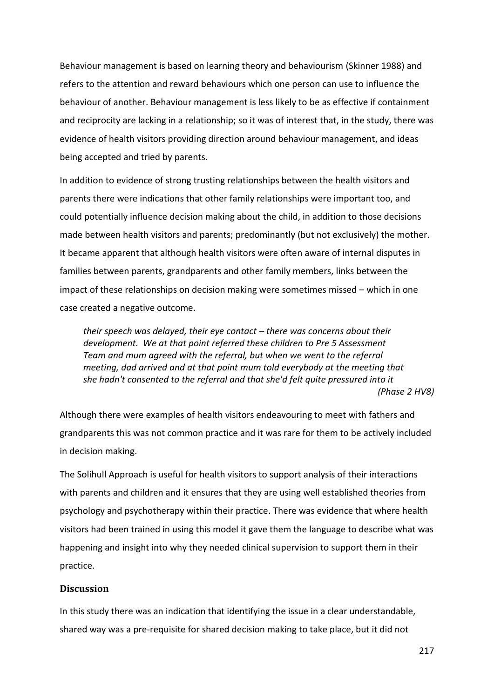Behaviour management is based on learning theory and behaviourism (Skinner 1988) and refers to the attention and reward behaviours which one person can use to influence the behaviour of another. Behaviour management is less likely to be as effective if containment and reciprocity are lacking in a relationship; so it was of interest that, in the study, there was evidence of health visitors providing direction around behaviour management, and ideas being accepted and tried by parents.

In addition to evidence of strong trusting relationships between the health visitors and parents there were indications that other family relationships were important too, and could potentially influence decision making about the child, in addition to those decisions made between health visitors and parents; predominantly (but not exclusively) the mother. It became apparent that although health visitors were often aware of internal disputes in families between parents, grandparents and other family members, links between the impact of these relationships on decision making were sometimes missed – which in one case created a negative outcome.

*their speech was delayed, their eye contact – there was concerns about their development. We at that point referred these children to Pre 5 Assessment Team and mum agreed with the referral, but when we went to the referral meeting, dad arrived and at that point mum told everybody at the meeting that she hadn't consented to the referral and that she'd felt quite pressured into it (Phase 2 HV8)*

Although there were examples of health visitors endeavouring to meet with fathers and grandparents this was not common practice and it was rare for them to be actively included in decision making.

The Solihull Approach is useful for health visitors to support analysis of their interactions with parents and children and it ensures that they are using well established theories from psychology and psychotherapy within their practice. There was evidence that where health visitors had been trained in using this model it gave them the language to describe what was happening and insight into why they needed clinical supervision to support them in their practice.

#### **Discussion**

In this study there was an indication that identifying the issue in a clear understandable, shared way was a pre-requisite for shared decision making to take place, but it did not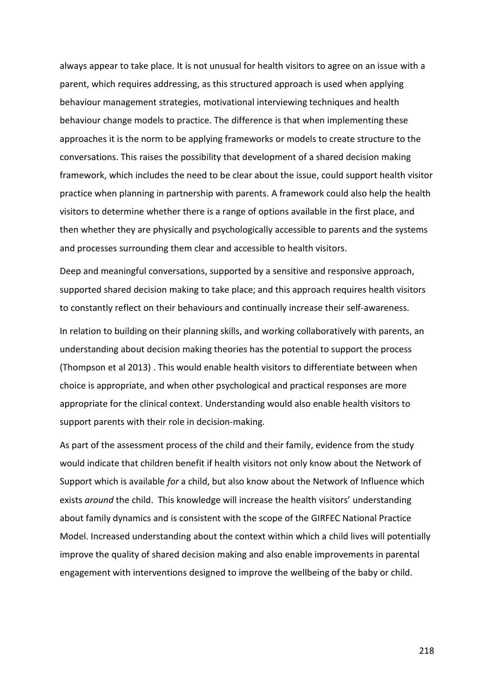always appear to take place. It is not unusual for health visitors to agree on an issue with a parent, which requires addressing, as this structured approach is used when applying behaviour management strategies, motivational interviewing techniques and health behaviour change models to practice. The difference is that when implementing these approaches it is the norm to be applying frameworks or models to create structure to the conversations. This raises the possibility that development of a shared decision making framework, which includes the need to be clear about the issue, could support health visitor practice when planning in partnership with parents. A framework could also help the health visitors to determine whether there is a range of options available in the first place, and then whether they are physically and psychologically accessible to parents and the systems and processes surrounding them clear and accessible to health visitors.

Deep and meaningful conversations, supported by a sensitive and responsive approach, supported shared decision making to take place; and this approach requires health visitors to constantly reflect on their behaviours and continually increase their self-awareness.

In relation to building on their planning skills, and working collaboratively with parents, an understanding about decision making theories has the potential to support the process (Thompson et al 2013) . This would enable health visitors to differentiate between when choice is appropriate, and when other psychological and practical responses are more appropriate for the clinical context. Understanding would also enable health visitors to support parents with their role in decision-making.

As part of the assessment process of the child and their family, evidence from the study would indicate that children benefit if health visitors not only know about the Network of Support which is available *for* a child, but also know about the Network of Influence which exists *around* the child. This knowledge will increase the health visitors' understanding about family dynamics and is consistent with the scope of the GIRFEC National Practice Model. Increased understanding about the context within which a child lives will potentially improve the quality of shared decision making and also enable improvements in parental engagement with interventions designed to improve the wellbeing of the baby or child.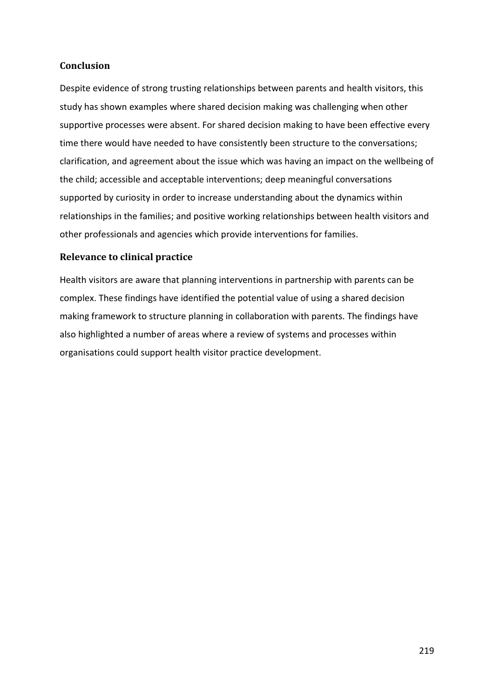# **Conclusion**

Despite evidence of strong trusting relationships between parents and health visitors, this study has shown examples where shared decision making was challenging when other supportive processes were absent. For shared decision making to have been effective every time there would have needed to have consistently been structure to the conversations; clarification, and agreement about the issue which was having an impact on the wellbeing of the child; accessible and acceptable interventions; deep meaningful conversations supported by curiosity in order to increase understanding about the dynamics within relationships in the families; and positive working relationships between health visitors and other professionals and agencies which provide interventions for families.

# **Relevance to clinical practice**

Health visitors are aware that planning interventions in partnership with parents can be complex. These findings have identified the potential value of using a shared decision making framework to structure planning in collaboration with parents. The findings have also highlighted a number of areas where a review of systems and processes within organisations could support health visitor practice development.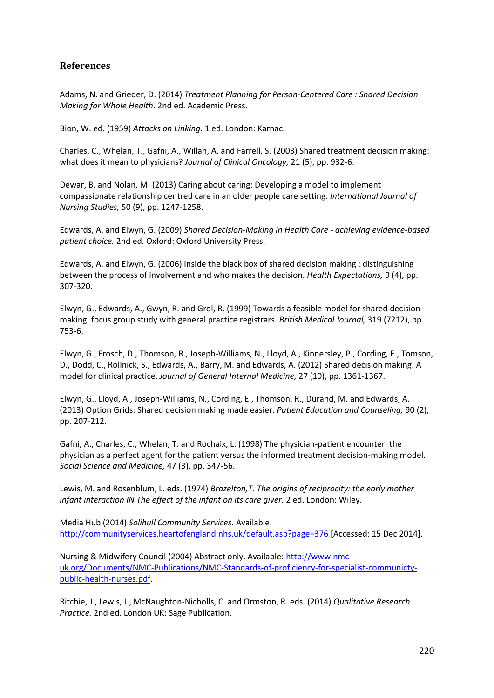# **References**

Adams, N. and Grieder, D. (2014) *Treatment Planning for Person-Centered Care : Shared Decision Making for Whole Health.* 2nd ed. Academic Press.

Bion, W. ed. (1959) *Attacks on Linking.* 1 ed. London: Karnac.

Charles, C., Whelan, T., Gafni, A., Willan, A. and Farrell, S. (2003) Shared treatment decision making: what does it mean to physicians? *Journal of Clinical Oncology,* 21 (5), pp. 932-6.

Dewar, B. and Nolan, M. (2013) Caring about caring: Developing a model to implement compassionate relationship centred care in an older people care setting. *International Journal of Nursing Studies,* 50 (9), pp. 1247-1258.

Edwards, A. and Elwyn, G. (2009) *Shared Decision-Making in Health Care - achieving evidence-based patient choice.* 2nd ed. Oxford: Oxford University Press.

Edwards, A. and Elwyn, G. (2006) Inside the black box of shared decision making : distinguishing between the process of involvement and who makes the decision. *Health Expectations,* 9 (4), pp. 307-320.

Elwyn, G., Edwards, A., Gwyn, R. and Grol, R. (1999) Towards a feasible model for shared decision making: focus group study with general practice registrars. *British Medical Journal,* 319 (7212), pp. 753-6.

Elwyn, G., Frosch, D., Thomson, R., Joseph-Williams, N., Lloyd, A., Kinnersley, P., Cording, E., Tomson, D., Dodd, C., Rollnick, S., Edwards, A., Barry, M. and Edwards, A. (2012) Shared decision making: A model for clinical practice. *Journal of General Internal Medicine,* 27 (10), pp. 1361-1367.

Elwyn, G., Lloyd, A., Joseph-Williams, N., Cording, E., Thomson, R., Durand, M. and Edwards, A. (2013) Option Grids: Shared decision making made easier. *Patient Education and Counseling,* 90 (2), pp. 207-212.

Gafni, A., Charles, C., Whelan, T. and Rochaix, L. (1998) The physician-patient encounter: the physician as a perfect agent for the patient versus the informed treatment decision-making model. *Social Science and Medicine,* 47 (3), pp. 347-56.

Lewis, M. and Rosenblum, L. eds. (1974) *Brazelton,T. The origins of reciprocity: the early mother infant interaction IN The effect of the infant on its care giver.* 2 ed. London: Wiley.

Media Hub (2014) *Solihull Community Services.* Available: <http://communityservices.heartofengland.nhs.uk/default.asp?page=376> [Accessed: 15 Dec 2014].

Nursing & Midwifery Council (2004) Abstract only. Available[: http://www.nmc](http://www.nmc-uk.org/Documents/NMC-Publications/NMC-Standards-of-proficiency-for-specialist-communicty-public-health-nurses.pdf)[uk.org/Documents/NMC-Publications/NMC-Standards-of-proficiency-for-specialist-communicty](http://www.nmc-uk.org/Documents/NMC-Publications/NMC-Standards-of-proficiency-for-specialist-communicty-public-health-nurses.pdf)[public-health-nurses.pdf.](http://www.nmc-uk.org/Documents/NMC-Publications/NMC-Standards-of-proficiency-for-specialist-communicty-public-health-nurses.pdf)

Ritchie, J., Lewis, J., McNaughton-Nicholls, C. and Ormston, R. eds. (2014) *Qualitative Research Practice.* 2nd ed. London UK: Sage Publication.